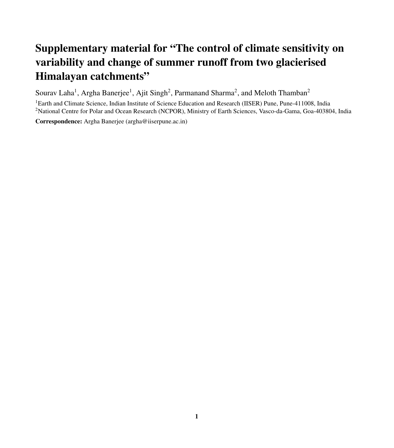## Supplementary material for "The control of climate sensitivity on variability and change of summer runoff from two glacierised Himalayan catchments"

Sourav Laha<sup>1</sup>, Argha Banerjee<sup>1</sup>, Ajit Singh<sup>2</sup>, Parmanand Sharma<sup>2</sup>, and Meloth Thamban<sup>2</sup>

<sup>1</sup>Earth and Climate Science, Indian Institute of Science Education and Research (IISER) Pune, Pune-411008, India <sup>2</sup>National Centre for Polar and Ocean Research (NCPOR), Ministry of Earth Sciences, Vasco-da-Gama, Goa-403804, India

Correspondence: Argha Banerjee (argha@iiserpune.ac.in)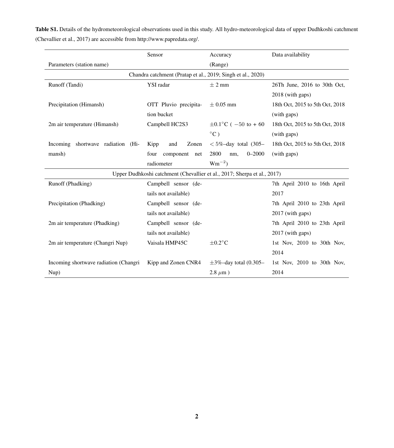|                                                             | Sensor                | Accuracy                                                                 | Data availability               |  |  |  |  |
|-------------------------------------------------------------|-----------------------|--------------------------------------------------------------------------|---------------------------------|--|--|--|--|
| Parameters (station name)                                   |                       | (Range)                                                                  |                                 |  |  |  |  |
| Chandra catchment (Pratap et al., 2019; Singh et al., 2020) |                       |                                                                          |                                 |  |  |  |  |
| Runoff (Tandi)                                              | YSI radar             | $\pm$ 2 mm                                                               | 26Th June, 2016 to 30th Oct,    |  |  |  |  |
|                                                             |                       |                                                                          | 2018 (with gaps)                |  |  |  |  |
| Precipitation (Himansh)                                     | OTT Pluvio precipita- | $\pm$ 0.05 mm                                                            | 18th Oct, 2015 to 5th Oct, 2018 |  |  |  |  |
|                                                             | tion bucket           |                                                                          | (with gaps)                     |  |  |  |  |
| 2m air temperature (Himansh)                                | Campbell HC2S3        | $\pm 0.1^{\circ}$ C ( $-50$ to + 60                                      | 18th Oct, 2015 to 5th Oct, 2018 |  |  |  |  |
|                                                             |                       | $^{\circ}$ C)                                                            | (with gaps)                     |  |  |  |  |
| Incoming shortwave radiation (Hi-                           | Zonen<br>Kipp<br>and  | $<$ 5%-day total (305-                                                   | 18th Oct, 2015 to 5th Oct, 2018 |  |  |  |  |
| mansh)                                                      | four component net    | 2800<br>$0 - 2000$<br>nm,                                                | (with gaps)                     |  |  |  |  |
|                                                             | radiometer            | $Wm^{-2}$ )                                                              |                                 |  |  |  |  |
|                                                             |                       | Upper Dudhkoshi catchment (Chevallier et al., 2017; Sherpa et al., 2017) |                                 |  |  |  |  |
| Runoff (Phadking)                                           | Campbell sensor (de-  |                                                                          | 7th April 2010 to 16th April    |  |  |  |  |
|                                                             | tails not available)  |                                                                          | 2017                            |  |  |  |  |
| Precipitation (Phadking)                                    | Campbell sensor (de-  |                                                                          | 7th April 2010 to 23th April    |  |  |  |  |
|                                                             | tails not available)  |                                                                          | $2017$ (with gaps)              |  |  |  |  |
| 2m air temperature (Phadking)                               | Campbell sensor (de-  |                                                                          | 7th April 2010 to 23th April    |  |  |  |  |
|                                                             | tails not available)  |                                                                          | 2017 (with gaps)                |  |  |  |  |
| 2m air temperature (Changri Nup)                            | Vaisala HMP45C        | $\pm 0.2$ °C                                                             | 1st Nov, 2010 to 30th Nov,      |  |  |  |  |
|                                                             |                       |                                                                          | 2014                            |  |  |  |  |
| Incoming shortwave radiation (Changri                       | Kipp and Zonen CNR4   | $\pm 3\%$ -day total (0.305-                                             | 1st Nov, 2010 to 30th Nov,      |  |  |  |  |
| Nup)                                                        |                       | $2.8 \ \mu m$ )                                                          | 2014                            |  |  |  |  |

Table S1. Details of the hydrometeorological observations used in this study. All hydro-meteorological data of upper Dudhkoshi catchment [\(Chevallier et al., 2017\)](#page-14-0) are accessible from http://www.papredata.org/.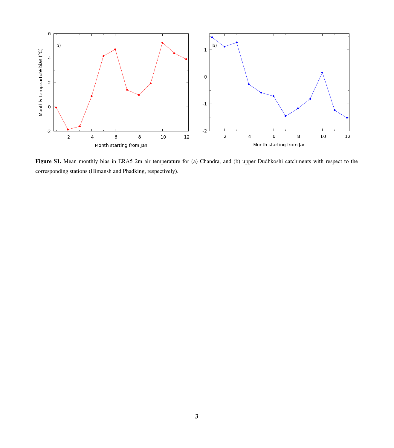

Figure S1. Mean monthly bias in ERA5 2m air temperature for (a) Chandra, and (b) upper Dudhkoshi catchments with respect to the corresponding stations (Himansh and Phadking, respectively).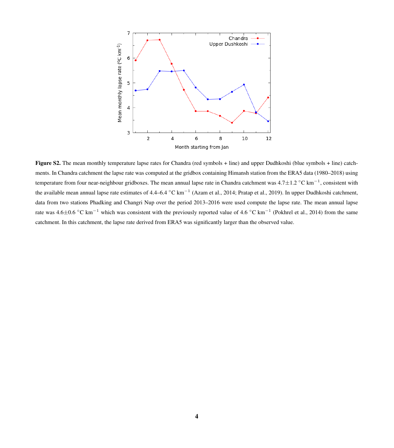

Figure S2. The mean monthly temperature lapse rates for Chandra (red symbols + line) and upper Dudhkoshi (blue symbols + line) catchments. In Chandra catchment the lapse rate was computed at the gridbox containing Himansh station from the ERA5 data (1980–2018) using temperature from four near-neighbour gridboxes. The mean annual lapse rate in Chandra catchment was 4.7 $\pm$ 1.2 °C km<sup>-1</sup>, consistent with the available mean annual lapse rate estimates of 4.4–6.4  $^{\circ}$ C km<sup>-1</sup> [\(Azam et al., 2014;](#page-14-1) [Pratap et al., 2019\)](#page-15-0). In upper Dudhkoshi catchment, data from two stations Phadking and Changri Nup over the period 2013–2016 were used compute the lapse rate. The mean annual lapse rate was  $4.6 \pm 0.6 \degree$ C km<sup>-1</sup> which was consistent with the previously reported value of  $4.6 \degree$ C km<sup>-1</sup> [\(Pokhrel et al., 2014\)](#page-15-3) from the same catchment. In this catchment, the lapse rate derived from ERA5 was significantly larger than the observed value.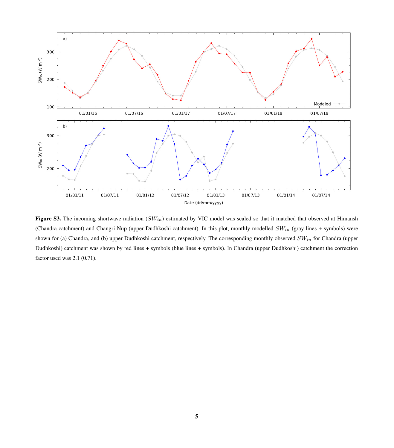

Figure S3. The incoming shortwave radiation  $(SW<sub>in</sub>)$  estimated by VIC model was scaled so that it matched that observed at Himansh (Chandra catchment) and Changri Nup (upper Dudhkoshi catchment). In this plot, monthly modelled  $SW_{in}$  (gray lines + symbols) were shown for (a) Chandra, and (b) upper Dudhkoshi catchment, respectively. The corresponding monthly observed  $SW_{in}$  for Chandra (upper Dudhkoshi) catchment was shown by red lines + symbols (blue lines + symbols). In Chandra (upper Dudhkoshi) catchment the correction factor used was 2.1 (0.71).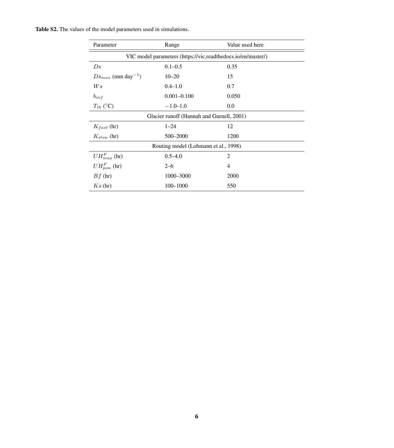|  |  |  |  |  |  |  | <b>Table S2.</b> The values of the model parameters used in simulations. |  |  |  |  |
|--|--|--|--|--|--|--|--------------------------------------------------------------------------|--|--|--|--|
|--|--|--|--|--|--|--|--------------------------------------------------------------------------|--|--|--|--|

| Parameter                                                    | Range                                     | Value used here |  |  |
|--------------------------------------------------------------|-------------------------------------------|-----------------|--|--|
| VIC model parameters (https://vic.readthedocs.io/en/master/) |                                           |                 |  |  |
| Ds                                                           | $0.1 - 0.5$                               | 0.35            |  |  |
| $Ds_{max}$ (mm day <sup>-1</sup> )                           | $10 - 20$                                 | 15              |  |  |
| W s                                                          | $0.4 - 1.0$                               | 0.7             |  |  |
| $b_{inf}$                                                    | $0.001 - 0.100$                           | 0.050           |  |  |
| $T_{th}$ (°C)                                                | $-1.0 - 1.0$                              | 0.0             |  |  |
|                                                              | Glacier runoff (Hannah and Gurnell, 2001) |                 |  |  |
| $K_{fast}$ (hr)                                              | $1 - 24$                                  | 12              |  |  |
| $K_{slow}$ (hr)                                              | 500-2000                                  | 1200            |  |  |
|                                                              | Routing model (Lohmann et al., 1998)      |                 |  |  |
| $UH_{max}^F$ (hr)                                            | $0.5 - 4.0$                               | 2               |  |  |
| $UH_{pow}^F$ (hr)                                            | $2 - 6$                                   | 4               |  |  |
| $Bf$ (hr)                                                    | 1000-3000                                 | 2000            |  |  |
| $Ks$ (hr)                                                    | $100 - 1000$                              | 550             |  |  |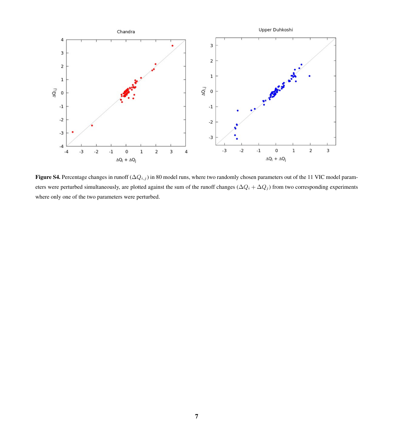

Figure S4. Percentage changes in runoff ( $\Delta Q_{i,j}$ ) in 80 model runs, where two randomly chosen parameters out of the 11 VIC model parameters were perturbed simultaneously, are plotted against the sum of the runoff changes ( $\Delta Q_i + \Delta Q_j$ ) from two corresponding experiments where only one of the two parameters were perturbed.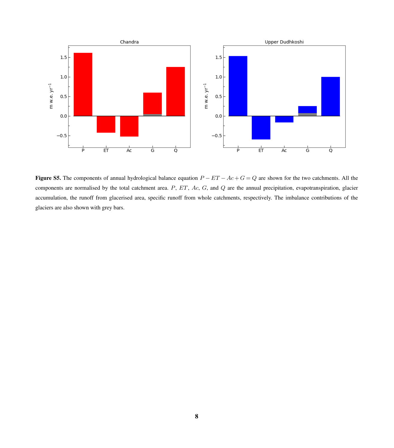

Figure S5. The components of annual hydrological balance equation  $P - ET - Ac + G = Q$  are shown for the two catchments. All the components are normalised by the total catchment area. P, ET, Ac, G, and Q are the annual precipitation, evapotranspiration, glacier accumulation, the runoff from glacerised area, specific runoff from whole catchments, respectively. The imbalance contributions of the glaciers are also shown with grey bars.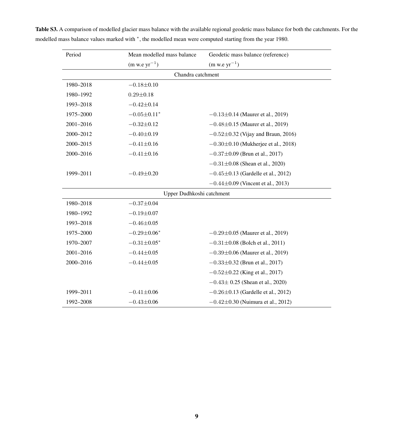| Period            | Mean modelled mass balance    | Geodetic mass balance (reference)        |  |  |  |
|-------------------|-------------------------------|------------------------------------------|--|--|--|
|                   | $(m$ w.e $yr^{-1})$           | $(m$ w.e $yr^{-1})$                      |  |  |  |
| Chandra catchment |                               |                                          |  |  |  |
| 1980-2018         | $-0.18 \pm 0.10$              |                                          |  |  |  |
| 1980-1992         | $0.29 \pm 0.18$               |                                          |  |  |  |
| 1993-2018         | $-0.42\pm0.14$                |                                          |  |  |  |
| 1975-2000         | $-0.05 \pm 0.11$ <sup>*</sup> | $-0.13\pm0.14$ (Maurer et al., 2019)     |  |  |  |
| 2001-2016         | $-0.32\pm0.12$                | $-0.48\pm0.15$ (Maurer et al., 2019)     |  |  |  |
| 2000-2012         | $-0.40 \pm 0.19$              | $-0.52 \pm 0.32$ (Vijay and Braun, 2016) |  |  |  |
| 2000-2015         | $-0.41 \pm 0.16$              | $-0.30\pm0.10$ (Mukherjee et al., 2018)  |  |  |  |
| 2000-2016         | $-0.41 \pm 0.16$              | $-0.37\pm0.09$ (Brun et al., 2017)       |  |  |  |
|                   |                               | $-0.31 \pm 0.08$ (Shean et al., 2020)    |  |  |  |
| 1999-2011         | $-0.49 \pm 0.20$              | $-0.45 \pm 0.13$ (Gardelle et al., 2012) |  |  |  |
|                   |                               | $-0.44\pm0.09$ (Vincent et al., 2013)    |  |  |  |
|                   | Upper Dudhkoshi catchment     |                                          |  |  |  |
| 1980-2018         | $-0.37 \pm 0.04$              |                                          |  |  |  |
| 1980-1992         | $-0.19 \pm 0.07$              |                                          |  |  |  |
| 1993-2018         | $-0.46 \pm 0.05$              |                                          |  |  |  |
| 1975-2000         | $-0.29 \pm 0.06*$             | $-0.29 \pm 0.05$ (Maurer et al., 2019)   |  |  |  |
| 1970-2007         | $-0.31 \pm 0.05^*$            | $-0.31\pm0.08$ (Bolch et al., 2011)      |  |  |  |
| 2001-2016         | $-0.44\pm0.05$                | $-0.39\pm0.06$ (Maurer et al., 2019)     |  |  |  |
| 2000-2016         | $-0.44\pm0.05$                | $-0.33\pm0.32$ (Brun et al., 2017)       |  |  |  |
|                   |                               | $-0.52 \pm 0.22$ (King et al., 2017)     |  |  |  |
|                   |                               | $-0.43 \pm 0.25$ (Shean et al., 2020)    |  |  |  |
| 1999-2011         | $-0.41 \pm 0.06$              | $-0.26 \pm 0.13$ (Gardelle et al., 2012) |  |  |  |
| 1992-2008         | $-0.43 \pm 0.06$              | $-0.42\pm0.30$ (Nuimura et al., 2012)    |  |  |  |

Table S3. A comparison of modelled glacier mass balance with the available regional geodetic mass balance for both the catchments. For the modelled mass balance values marked with <sup>∗</sup> , the modelled mean were computed starting from the year 1980.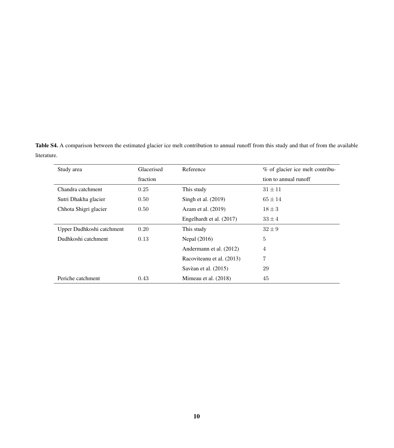Table S4. A comparison between the estimated glacier ice melt contribution to annual runoff from this study and that of from the available literature.

| Study area                | Glacerised | Reference                 | % of glacier ice melt contribu- |
|---------------------------|------------|---------------------------|---------------------------------|
|                           | fraction   |                           | tion to annual runoff           |
| Chandra catchment         | 0.25       | This study                | $31 \pm 11$                     |
| Sutri Dhakha glacier      | 0.50       | Singh et al. $(2019)$     | $65 \pm 14$                     |
| Chhota Shigri glacier     | 0.50       | Azam et al. (2019)        | $18 \pm 3$                      |
|                           |            | Engelhardt et al. (2017)  | $33 \pm 4$                      |
| Upper Dudhkoshi catchment | 0.20       | This study                | $32 \pm 9$                      |
| Dudhkoshi catchment       | 0.13       | Nepal (2016)              | 5                               |
|                           |            | Andermann et al. (2012)   | 4                               |
|                           |            | Racoviteanu et al. (2013) | 7                               |
|                           |            | Savèan et al. (2015)      | 29                              |
| Periche catchment         | 0.43       | Mimeau et al. (2018)      | 45                              |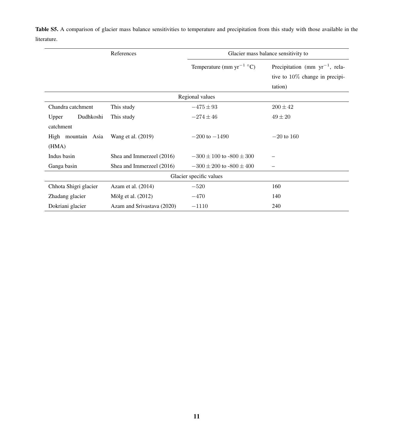Table S5. A comparison of glacier mass balance sensitivities to temperature and precipitation from this study with those available in the literature.

|                       | References                 | Glacier mass balance sensitivity to |                                                                                     |  |
|-----------------------|----------------------------|-------------------------------------|-------------------------------------------------------------------------------------|--|
|                       |                            | Temperature (mm $yr^{-1}$ °C)       | Precipitation (mm $yr^{-1}$ , rela-<br>tive to $10\%$ change in precipi-<br>tation) |  |
|                       |                            | Regional values                     |                                                                                     |  |
| Chandra catchment     | This study                 | $-475 \pm 93$                       | $200 \pm 42$                                                                        |  |
| Dudhkoshi<br>Upper    | This study                 | $-274 \pm 46$                       | $49 \pm 20$                                                                         |  |
| catchment             |                            |                                     |                                                                                     |  |
| High mountain Asia    | Wang et al. (2019)         | $-200$ to $-1490$                   | $-20$ to 160                                                                        |  |
| (HMA)                 |                            |                                     |                                                                                     |  |
| Indus basin           | Shea and Immerzeel (2016)  | $-300 \pm 100$ to $-800 \pm 300$    |                                                                                     |  |
| Ganga basin           | Shea and Immerzeel (2016)  | $-300 \pm 200$ to $-800 \pm 400$    |                                                                                     |  |
|                       |                            | Glacier specific values             |                                                                                     |  |
| Chhota Shigri glacier | Azam et al. $(2014)$       | $-520$                              | 160                                                                                 |  |
| Zhadang glacier       | Mölg et al. (2012)         | $-470$                              | 140                                                                                 |  |
| Dokriani glacier      | Azam and Srivastava (2020) | $-1110$                             | 240                                                                                 |  |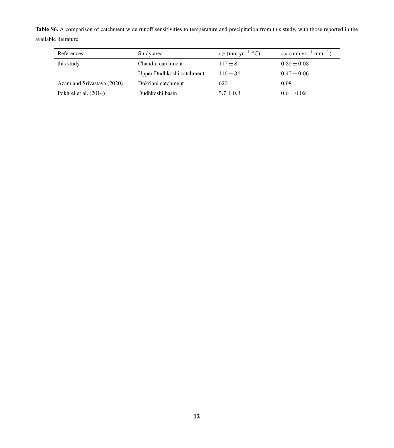Table S6. A comparison of catchment wide runoff sensitivities to temperature and precipitation from this study, with those reported in the available literature.

| References                 | Study area                | $s_T$ (mm yr <sup>-1</sup> °C) | $s_P$ (mm yr <sup>-1</sup> mm <sup>-1</sup> ) |
|----------------------------|---------------------------|--------------------------------|-----------------------------------------------|
| this study                 | Chandra catchment         | $117 \pm 8$                    | $0.39 \pm 0.03$                               |
|                            | Upper Dudhkoshi catchment | $116 \pm 34$                   | $0.47 \pm 0.06$                               |
| Azam and Srivastava (2020) | Dokriani catchment        | 620                            | 0.98                                          |
| Pokhrel et al. (2014)      | Dudhkoshi basin           | $5.7 \pm 0.3$                  | $0.6 \pm 0.02$                                |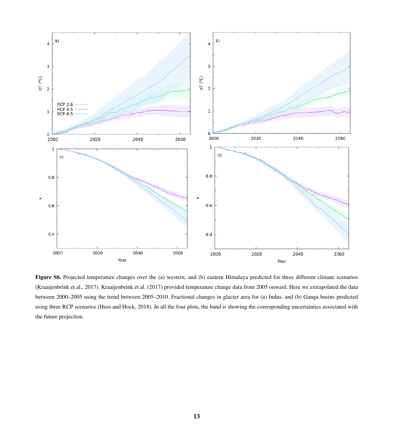

Figure S6. Projected temperature changes over the (a) western, and (b) eastern Himalaya predicted for three different climate scenarios [\(Kraaijenbrink et al., 2017\)](#page-14-14). [Kraaijenbrink et al.](#page-14-14) [\(2017\)](#page-14-14) provided temperature change data from 2005 onward. Here we extrapolated the data between 2000–2005 using the trend between 2005–2010. Fractional changes in glacier area for (a) Indus, and (b) Ganga basins predicted using three RCP scenarios [\(Huss and Hock, 2018\)](#page-14-15). In all the four plots, the band is showing the corresponding uncertainties associated with the future projection.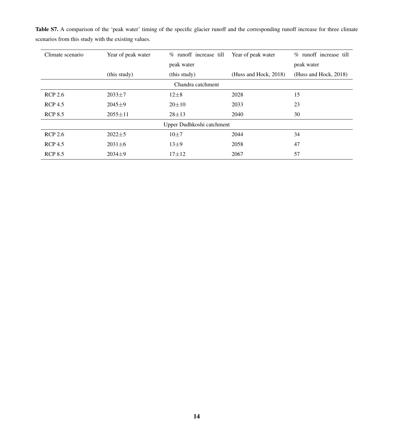| Climate scenario | Year of peak water | % runoff increase till    | Year of peak water    | % runoff increase till |
|------------------|--------------------|---------------------------|-----------------------|------------------------|
|                  |                    | peak water                |                       | peak water             |
|                  | (this study)       | (this study)              | (Huss and Hock, 2018) | (Huss and Hock, 2018)  |
|                  |                    | Chandra catchment         |                       |                        |
| <b>RCP 2.6</b>   | $2033 \pm 7$       | $12\pm8$                  | 2028                  | 15                     |
| <b>RCP 4.5</b>   | $2045 \pm 9$       | $20 \pm 10$               | 2033                  | 23                     |
| <b>RCP 8.5</b>   | $2055 \pm 11$      | $28 + 13$                 | 2040                  | 30                     |
|                  |                    | Upper Dudhkoshi catchment |                       |                        |
| <b>RCP 2.6</b>   | $2022 \pm 5$       | $10\pm7$                  | 2044                  | 34                     |
| <b>RCP 4.5</b>   | $2031 \pm 6$       | $13\pm9$                  | 2058                  | 47                     |
| <b>RCP 8.5</b>   | $2034 \pm 9$       | $17 + 12$                 | 2067                  | 57                     |

Table S7. A comparison of the 'peak water' timing of the specific glacier runoff and the corresponding runoff increase for three climate scenarios from this study with the existing values.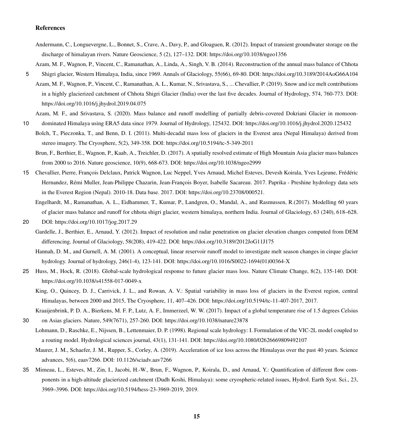## References

- <span id="page-14-11"></span>Andermann, C., Longuevergne, L., Bonnet, S., Crave, A., Davy, P., and Gloaguen, R. (2012). Impact of transient groundwater storage on the discharge of himalayan rivers. Nature Geoscience, 5 (2), 127–132. DOI: https://doi.org/10.1038/ngeo1356
- <span id="page-14-1"></span>Azam, M. F., Wagnon, P., Vincent, C., Ramanathan, A., Linda, A., Singh, V. B. (2014). Reconstruction of the annual mass balance of Chhota
- <span id="page-14-9"></span>5 Shigri glacier, Western Himalaya, India, since 1969. Annals of Glaciology, 55(66), 69-80. DOI: https://doi.org/10.3189/2014AoG66A104 Azam, M. F., Wagnon, P., Vincent, C., Ramanathan, A. L., Kumar, N., Srivastava, S., ... Chevallier, P. (2019). Snow and ice melt contributions in a highly glacierized catchment of Chhota Shigri Glacier (India) over the last five decades. Journal of Hydrology, 574, 760-773. DOI: https://doi.org/10.1016/j.jhydrol.2019.04.075
	- Azam, M. F., and Srivastava, S. (2020). Mass balance and runoff modelling of partially debris-covered Dokriani Glacier in monsoon-
- <span id="page-14-13"></span><span id="page-14-7"></span>10 dominated Himalaya using ERA5 data since 1979. Journal of Hydrology, 125432. DOI: https://doi.org/10.1016/j.jhydrol.2020.125432
	- Bolch, T., Pieczonka, T., and Benn, D. I. (2011). Multi-decadal mass loss of glaciers in the Everest area (Nepal Himalaya) derived from stereo imagery. The Cryosphere, 5(2), 349-358. DOI: https://doi.org/10.5194/tc-5-349-2011

<span id="page-14-5"></span>Brun, F., Berthier, E., Wagnon, P., Kaab, A., Treichler, D. (2017). A spatially resolved estimate of High Mountain Asia glacier mass balances from 2000 to 2016. Nature geoscience, 10(9), 668-673. DOI: https://doi.org/10.1038/ngeo2999

- <span id="page-14-10"></span><span id="page-14-0"></span>15 Chevallier, Pierre, François Delclaux, Patrick Wagnon, Luc Neppel, Yves Arnaud, Michel Esteves, Devesh Koirala, Yves Lejeune, Frédéric Hernandez, Rémi Muller, Jean-Philippe Chazarin, Jean-François Boyer, Isabelle Sacareau. 2017. Paprika - Preshine hydrology data sets in the Everest Region (Nepal). 2010-18. Data base. 2017. DOI: https://doi.org/10.23708/000521.
	- Engelhardt, M., Ramanathan, A. L., Eidhammer, T., Kumar, P., Landgren, O., Mandal, A., and Rasmussen, R.(2017). Modelling 60 years of glacier mass balance and runoff for chhota shigri glacier, western himalaya, northern India. Journal of Glaciology, 63 (240), 618–628.
- <span id="page-14-6"></span>20 DOI: https://doi.org/10.1017/jog.2017.29
	- Gardelle, J., Berthier, E., Arnaud, Y. (2012). Impact of resolution and radar penetration on glacier elevation changes computed from DEM differencing. Journal of Glaciology, 58(208), 419-422. DOI: https://doi.org/10.3189/2012JoG11J175

<span id="page-14-2"></span>Hannah, D. M., and Gurnell, A. M. (2001). A conceptual, linear reservoir runoff model to investigate melt season changes in cirque glacier hydrology. Journal of hydrology, 246(1-4), 123-141. DOI: https://doi.org/10.1016/S0022-1694(01)00364-X

- <span id="page-14-15"></span><span id="page-14-8"></span>25 Huss, M., Hock, R. (2018). Global-scale hydrological response to future glacier mass loss. Nature Climate Change, 8(2), 135-140. DOI: https://doi.org/10.1038/s41558-017-0049-x
	- King, O., Quincey, D. J., Carrivick, J. L., and Rowan, A. V.: Spatial variability in mass loss of glaciers in the Everest region, central Himalayas, between 2000 and 2015, The Cryosphere, 11, 407–426. DOI: https://doi.org/10.5194/tc-11-407-2017, 2017.

<span id="page-14-14"></span>Kraaijenbrink, P. D. A., Bierkens, M. F. P., Lutz, A. F., Immerzeel, W. W. (2017). Impact of a global temperature rise of 1.5 degrees Celsius

<span id="page-14-3"></span>30 on Asias glaciers. Nature, 549(7671), 257-260. DOI: https://doi.org/10.1038/nature23878

- <span id="page-14-4"></span>Lohmann, D., Raschke, E., Nijssen, B., Lettenmaier, D. P. (1998). Regional scale hydrology: I. Formulation of the VIC-2L model coupled to a routing model. Hydrological sciences journal, 43(1), 131-141. DOI: https://doi.org/10.1080/02626669809492107
	- Maurer, J. M., Schaefer, J. M., Rupper, S., Corley, A. (2019). Acceleration of ice loss across the Himalayas over the past 40 years. Science advances, 5(6), eaav7266. DOI: 10.1126/sciadv.aav7266
- <span id="page-14-12"></span>35 Mimeau, L., Esteves, M., Zin, I., Jacobi, H.-W., Brun, F., Wagnon, P., Koirala, D., and Arnaud, Y.: Quantification of different flow components in a high-altitude glacierized catchment (Dudh Koshi, Himalaya): some cryospheric-related issues, Hydrol. Earth Syst. Sci., 23, 3969–3996. DOI: https://doi.org/10.5194/hess-23-3969-2019, 2019.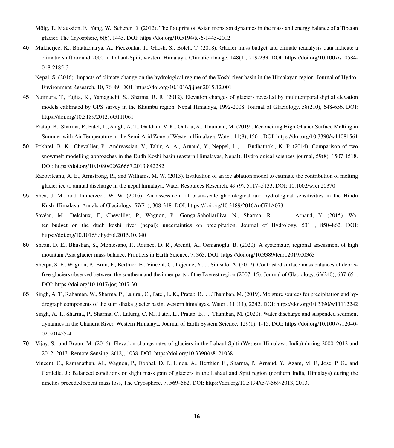- <span id="page-15-14"></span>Mölg, T., Maussion, F., Yang, W., Scherer, D. (2012). The footprint of Asian monsoon dynamics in the mass and energy balance of a Tibetan glacier. The Cryosphere, 6(6), 1445. DOI: https://doi.org/10.5194/tc-6-1445-2012
- <span id="page-15-10"></span><span id="page-15-5"></span>40 Mukherjee, K., Bhattacharya, A., Pieczonka, T., Ghosh, S., Bolch, T. (2018). Glacier mass budget and climate reanalysis data indicate a climatic shift around 2000 in Lahaul-Spiti, western Himalaya. Climatic change, 148(1), 219-233. DOI: https://doi.org/10.1007/s10584- 018-2185-3
	- Nepal, S. (2016). Impacts of climate change on the hydrological regime of the Koshi river basin in the Himalayan region. Journal of Hydro-Environment Research, 10, 76-89. DOI: https://doi.org/10.1016/j.jher.2015.12.001
- <span id="page-15-8"></span><span id="page-15-0"></span>45 Nuimura, T., Fujita, K., Yamaguchi, S., Sharma, R. R. (2012). Elevation changes of glaciers revealed by multitemporal digital elevation models calibrated by GPS survey in the Khumbu region, Nepal Himalaya, 1992-2008. Journal of Glaciology, 58(210), 648-656. DOI: https://doi.org/10.3189/2012JoG11J061
	- Pratap, B., Sharma, P., Patel, L., Singh, A. T., Gaddam, V. K., Oulkar, S., Thamban, M. (2019). Reconciling High Glacier Surface Melting in Summer with Air Temperature in the Semi-Arid Zone of Western Himalaya. Water, 11(8), 1561. DOI: https://doi.org/10.3390/w11081561
- <span id="page-15-11"></span><span id="page-15-3"></span>50 Pokhrel, B. K., Chevallier, P., Andreassian, V., Tahir, A. A., Arnaud, Y., Neppel, L., ... Budhathoki, K. P. (2014). Comparison of two snowmelt modelling approaches in the Dudh Koshi basin (eastern Himalayas, Nepal). Hydrological sciences journal, 59(8), 1507-1518. DOI: https://doi.org/10.1080/02626667.2013.842282
	- Racoviteanu, A. E., Armstrong, R., and Williams, M. W. (2013). Evaluation of an ice ablation model to estimate the contribution of melting glacier ice to annual discharge in the nepal himalaya. Water Resources Research, 49 (9), 5117–5133. DOI: 10.1002/wrcr.20370
- <span id="page-15-13"></span><span id="page-15-12"></span>55 Shea, J. M., and Immerzeel, W. W. (2016). An assessment of basin-scale glaciological and hydrological sensitivities in the Hindu Kush–Himalaya. Annals of Glaciology, 57(71), 308-318. DOI: https://doi.org/10.3189/2016AoG71A073
	- Savéan, M., Delclaux, F., Chevallier, P., Wagnon, P., Gonga-Saholiariliva, N., Sharma, R., . . . Arnaud, Y. (2015). Water budget on the dudh koshi river (nepal): uncertainties on precipitation. Journal of Hydrology, 531 , 850–862. DOI: https://doi.org/10.1016/j.jhydrol.2015.10.040
- <span id="page-15-6"></span><span id="page-15-2"></span>60 Shean, D. E., Bhushan, S., Montesano, P., Rounce, D. R., Arendt, A., Osmanoglu, B. (2020). A systematic, regional assessment of high mountain Asia glacier mass balance. Frontiers in Earth Science, 7, 363. DOI: https://doi.org/10.3389/feart.2019.00363
	- Sherpa, S. F., Wagnon, P., Brun, F., Berthier, E., Vincent, C., Lejeune, Y., ... Sinisalo, A. (2017). Contrasted surface mass balances of debrisfree glaciers observed between the southern and the inner parts of the Everest region (2007–15). Journal of Glaciology, 63(240), 637-651. DOI: https://doi.org/10.1017/jog.2017.30
- <span id="page-15-9"></span><span id="page-15-1"></span>65 Singh, A. T., Rahaman, W., Sharma, P., Laluraj, C., Patel, L. K., Pratap, B., . . .Thamban, M. (2019). Moisture sources for precipitation and hydrograph components of the sutri dhaka glacier basin, western himalayas. Water , 11 (11), 2242. DOI: https://doi.org/10.3390/w11112242 Singh, A. T., Sharma, P., Sharma, C., Laluraj, C. M., Patel, L., Pratap, B., ... Thamban, M. (2020). Water discharge and suspended sediment dynamics in the Chandra River, Western Himalaya. Journal of Earth System Science, 129(1), 1-15. DOI: https://doi.org/10.1007/s12040- 020-01455-4
- <span id="page-15-7"></span><span id="page-15-4"></span>70 Vijay, S., and Braun, M. (2016). Elevation change rates of glaciers in the Lahaul-Spiti (Western Himalaya, India) during 2000–2012 and 2012–2013. Remote Sensing, 8(12), 1038. DOI: https://doi.org/10.3390/rs8121038
	- Vincent, C., Ramanathan, Al., Wagnon, P., Dobhal, D. P., Linda, A., Berthier, E., Sharma, P., Arnaud, Y., Azam, M. F., Jose, P. G., and Gardelle, J.: Balanced conditions or slight mass gain of glaciers in the Lahaul and Spiti region (northern India, Himalaya) during the nineties preceded recent mass loss, The Cryosphere, 7, 569–582. DOI: https://doi.org/10.5194/tc-7-569-2013, 2013.